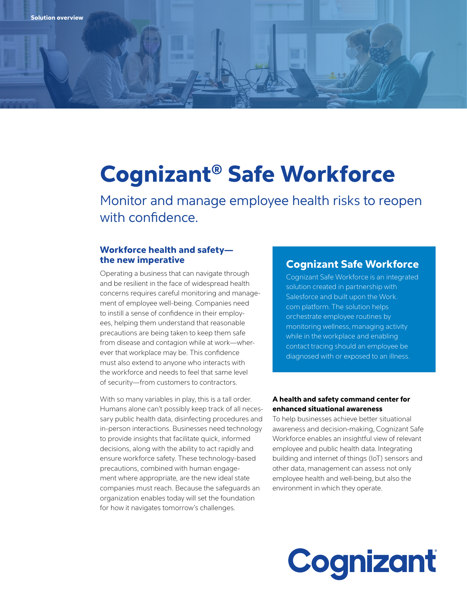# Cognizant® Safe Workforce

Monitor and manage employee health risks to reopen with confidence.

#### Workforce health and safety the new imperative

Operating a business that can navigate through and be resilient in the face of widespread health concerns requires careful monitoring and management of employee well-being. Companies need to instill a sense of confidence in their employees, helping them understand that reasonable precautions are being taken to keep them safe from disease and contagion while at work—wherever that workplace may be. This confidence must also extend to anyone who interacts with the workforce and needs to feel that same level of security—from customers to contractors.

With so many variables in play, this is a tall order. Humans alone can't possibly keep track of all necessary public health data, disinfecting procedures and in-person interactions. Businesses need technology to provide insights that facilitate quick, informed decisions, along with the ability to act rapidly and ensure workforce safety. These technology-based precautions, combined with human engagement where appropriate, are the new ideal state companies must reach. Because the safeguards an organization enables today will set the foundation for how it navigates tomorrow's challenges.

#### Cognizant Safe Workforce

Cognizant Safe Workforce is an integrated solution created in partnership with Salesforce and built upon the Work. com platform. The solution helps orchestrate employee routines by monitoring wellness, managing activity while in the workplace and enabling contact tracing should an employee be diagnosed with or exposed to an illness.

#### A health and safety command center for enhanced situational awareness

To help businesses achieve better situational awareness and decision-making, Cognizant Safe Workforce enables an insightful view of relevant employee and public health data. Integrating building and internet of things (IoT) sensors and other data, management can assess not only employee health and well-being, but also the environment in which they operate.

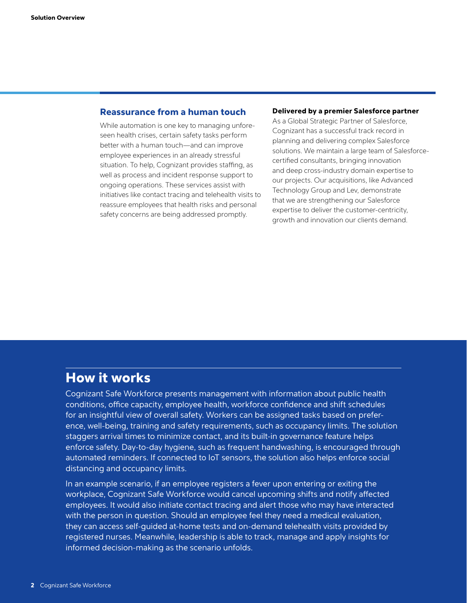#### Reassurance from a human touch

While automation is one key to managing unforeseen health crises, certain safety tasks perform better with a human touch—and can improve employee experiences in an already stressful situation. To help, Cognizant provides staffing, as well as process and incident response support to ongoing operations. These services assist with initiatives like contact tracing and telehealth visits to reassure employees that health risks and personal safety concerns are being addressed promptly.

#### Delivered by a premier Salesforce partner

As a Global Strategic Partner of Salesforce, Cognizant has a successful track record in planning and delivering complex Salesforce solutions. We maintain a large team of Salesforcecertified consultants, bringing innovation and deep cross-industry domain expertise to our projects. Our acquisitions, like Advanced Technology Group and Lev, demonstrate that we are strengthening our Salesforce expertise to deliver the customer-centricity, growth and innovation our clients demand.

## How it works

Cognizant Safe Workforce presents management with information about public health conditions, office capacity, employee health, workforce confidence and shift schedules for an insightful view of overall safety. Workers can be assigned tasks based on preference, well-being, training and safety requirements, such as occupancy limits. The solution staggers arrival times to minimize contact, and its built-in governance feature helps enforce safety. Day-to-day hygiene, such as frequent handwashing, is encouraged through automated reminders. If connected to IoT sensors, the solution also helps enforce social distancing and occupancy limits.

In an example scenario, if an employee registers a fever upon entering or exiting the workplace, Cognizant Safe Workforce would cancel upcoming shifts and notify affected employees. It would also initiate contact tracing and alert those who may have interacted with the person in question. Should an employee feel they need a medical evaluation, they can access self-guided at-home tests and on-demand telehealth visits provided by registered nurses. Meanwhile, leadership is able to track, manage and apply insights for informed decision-making as the scenario unfolds.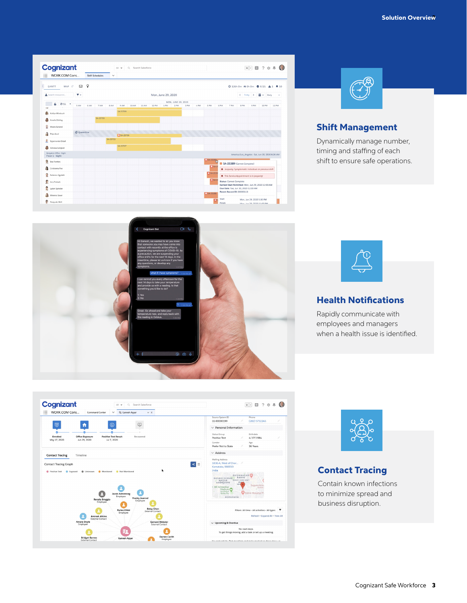



#### Shift Management

Dynamically manage number, timing and staffing of each shift to ensure safe operations.





#### Health Notifications

Rapidly communicate with employees and managers when a health issue is identified.





### Contact Tracing

Contain known infections to minimize spread and business disruption.